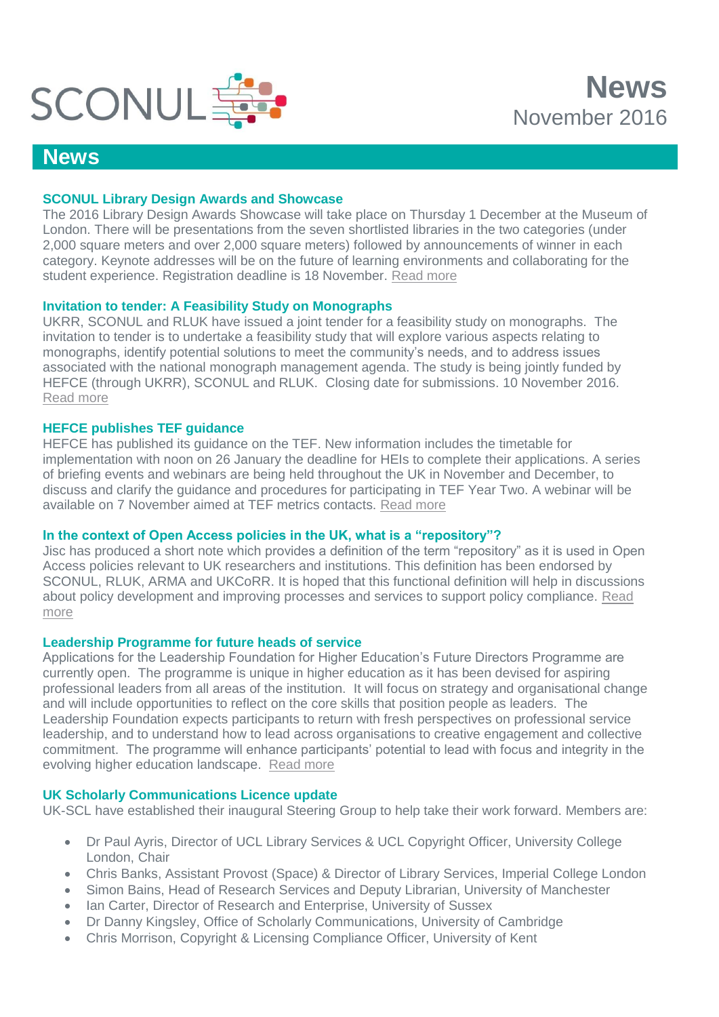

# **News**

## **SCONUL Library Design Awards and Showcase**

The 2016 Library Design Awards Showcase will take place on Thursday 1 December at the Museum of London. There will be presentations from the seven shortlisted libraries in the two categories (under 2,000 square meters and over 2,000 square meters) followed by announcements of winner in each category. Keynote addresses will be on the future of learning environments and collaborating for the student experience. Registration deadline is 18 November. [Read more](http://www.sconul.ac.uk/event/sconul-library-design-awards-and-showcase-2016)

# **Invitation to tender: A Feasibility Study on Monographs**

UKRR, SCONUL and RLUK have issued a joint tender for a feasibility study on monographs. The invitation to tender is to undertake a feasibility study that will explore various aspects relating to monographs, identify potential solutions to meet the community's needs, and to address issues associated with the national monograph management agenda. The study is being jointly funded by HEFCE (through UKRR), SCONUL and RLUK. Closing date for submissions. 10 November 2016. [Read more](http://www.rluk.ac.uk/news/invitation-to-tender-a-feasibility-study-on-monographs/)

### **HEFCE publishes TEF guidance**

HEFCE has published its guidance on the TEF. New information includes the timetable for implementation with noon on 26 January the deadline for HEIs to complete their applications. A series of briefing events and webinars are being held throughout the UK in November and December, to discuss and clarify the guidance and procedures for participating in TEF Year Two. A webinar will be available on 7 November aimed at TEF metrics contacts. [Read more](http://www.hefce.ac.uk/pubs/year/2016/201632/)

### **In the context of Open Access policies in the UK, what is a "repository"?**

Jisc has produced a short note which provides a definition of the term "repository" as it is used in Open Access policies relevant to UK researchers and institutions. This definition has been endorsed by SCONUL, RLUK, ARMA and UKCoRR. It is hoped that this functional definition will help in discussions about policy development and improving processes and services to support policy compliance. [Read](https://scholarlycommunications.jiscinvolve.org/wp/2016/10/14/in-the-context-of-open-access-policies-in-the-uk-what-is-a-repository/) [more](https://scholarlycommunications.jiscinvolve.org/wp/2016/10/14/in-the-context-of-open-access-policies-in-the-uk-what-is-a-repository/)

### **Leadership Programme for future heads of service**

Applications for the Leadership Foundation for Higher Education's Future Directors Programme are currently open. The programme is unique in higher education as it has been devised for aspiring professional leaders from all areas of the institution. It will focus on strategy and organisational change and will include opportunities to reflect on the core skills that position people as leaders. The Leadership Foundation expects participants to return with fresh perspectives on professional service leadership, and to understand how to lead across organisations to creative engagement and collective commitment. The programme will enhance participants' potential to lead with focus and integrity in the evolving higher education landscape. [Read more](http://www.lfhe.ac.uk/en/programmes-events/programmes/professional-partnerships/future-professional-directors/)

### **UK Scholarly Communications Licence update**

UK-SCL have established their inaugural Steering Group to help take their work forward. Members are:

- Dr Paul Ayris, Director of UCL Library Services & UCL Copyright Officer, University College London, Chair
- Chris Banks, Assistant Provost (Space) & Director of Library Services, Imperial College London
- Simon Bains, Head of Research Services and Deputy Librarian, University of Manchester
- Ian Carter, Director of Research and Enterprise, University of Sussex
- Dr Danny Kingsley, Office of Scholarly Communications, University of Cambridge
- Chris Morrison, Copyright & Licensing Compliance Officer, University of Kent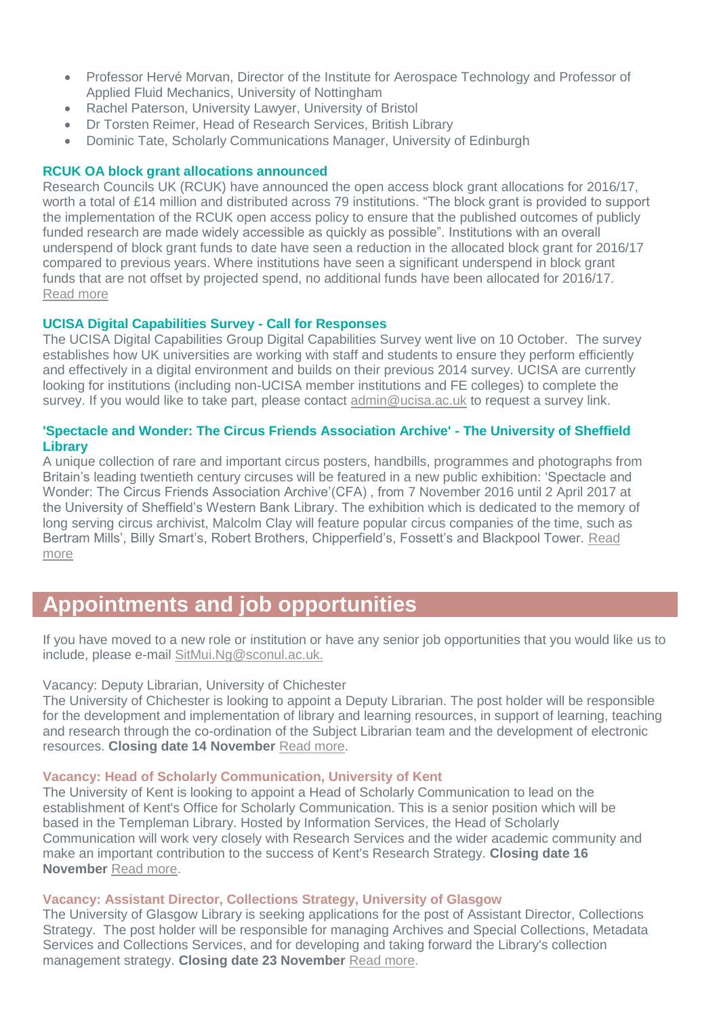- Professor Hervé Morvan, Director of the Institute for Aerospace Technology and Professor of Applied Fluid Mechanics, University of Nottingham
- Rachel Paterson, University Lawyer, University of Bristol
- Dr Torsten Reimer, Head of Research Services, British Library
- Dominic Tate, Scholarly Communications Manager, University of Edinburgh

#### **RCUK OA block grant allocations announced**

Research Councils UK (RCUK) have announced the open access block grant allocations for 2016/17, worth a total of £14 million and distributed across 79 institutions. "The block grant is provided to support the implementation of the RCUK open access policy to ensure that the published outcomes of publicly funded research are made widely accessible as quickly as possible". Institutions with an overall underspend of block grant funds to date have seen a reduction in the allocated block grant for 2016/17 compared to previous years. Where institutions have seen a significant underspend in block grant funds that are not offset by projected spend, no additional funds have been allocated for 2016/17. [Read more](http://www.rcuk.ac.uk/media/news/161019/)

#### **UCISA Digital Capabilities Survey - Call for Responses**

The UCISA Digital Capabilities Group Digital Capabilities Survey went live on 10 October. The survey establishes how UK universities are working with staff and students to ensure they perform efficiently and effectively in a digital environment and builds on their previous 2014 survey. UCISA are currently looking for institutions (including non-UCISA member institutions and FE colleges) to complete the survey. If you would like to take part, please contact [admin@ucisa.ac.uk](mailto:admin@ucisa.ac.uk) to request a survey link.

# **'Spectacle and Wonder: The Circus Friends Association Archive' - The University of Sheffield Library**

A unique collection of rare and important circus posters, handbills, programmes and photographs from Britain's leading twentieth century circuses will be featured in a new public exhibition: 'Spectacle and Wonder: The Circus Friends Association Archive'(CFA) , from 7 November 2016 until 2 April 2017 at the University of Sheffield's Western Bank Library. The exhibition which is dedicated to the memory of long serving circus archivist, Malcolm Clay will feature popular circus companies of the time, such as Bertram Mills', Billy Smart's, Robert Brothers, Chipperfield's, Fossett's and Blackpool Tower. [Read](http://www.sheffield.ac.uk/nfa/news/cfadonation-1.656737)  [more](http://www.sheffield.ac.uk/nfa/news/cfadonation-1.656737)

# **Appointments and job opportunities**

If you have moved to a new role or institution or have any senior job opportunities that you would like us to include, please e-mail [SitMui.Ng@sconul.ac.uk.](mailto:SitMui.Ng@sconul.ac.uk)

#### Vacancy: Deputy Librarian, University of Chichester

The University of Chichester is looking to appoint a Deputy Librarian. The post holder will be responsible for the development and implementation of library and learning resources, in support of learning, teaching and research through the co-ordination of the Subject Librarian team and the development of electronic resources. **Closing date 14 November** [Read more.](http://www.chi.ac.uk/about-us/working-us-1)

#### **Vacancy: Head of Scholarly Communication, University of Kent**

The University of Kent is looking to appoint a Head of Scholarly Communication to lead on the establishment of Kent's Office for Scholarly Communication. This is a senior position which will be based in the Templeman Library. Hosted by Information Services, the Head of Scholarly Communication will work very closely with Research Services and the wider academic community and make an important contribution to the success of Kent's Research Strategy. **Closing date 16 November** [Read more.](https://jobs.kent.ac.uk/fe/tpl_kent01.asp?s=4A515F4E5A565B1A&jobid=40382,8987763472&key=48798126&c=563458995614&pagestamp=seuxnewsimtmwnpekn)

#### **Vacancy: Assistant Director, Collections Strategy, University of Glasgow**

The University of Glasgow Library is seeking applications for the post of Assistant Director, Collections Strategy. The post holder will be responsible for managing Archives and Special Collections, Metadata Services and Collections Services, and for developing and taking forward the Library's collection management strategy. **Closing date 23 November** [Read more.](http://jobs.gla.ac.uk/fe/tpl_glasgow01.asp?s=4A515F4E5A565B1A&jobid=90485,2382496182&key=186739867&c=52151214782356&pagestamp=sejygkqoewrmrqwqhu)